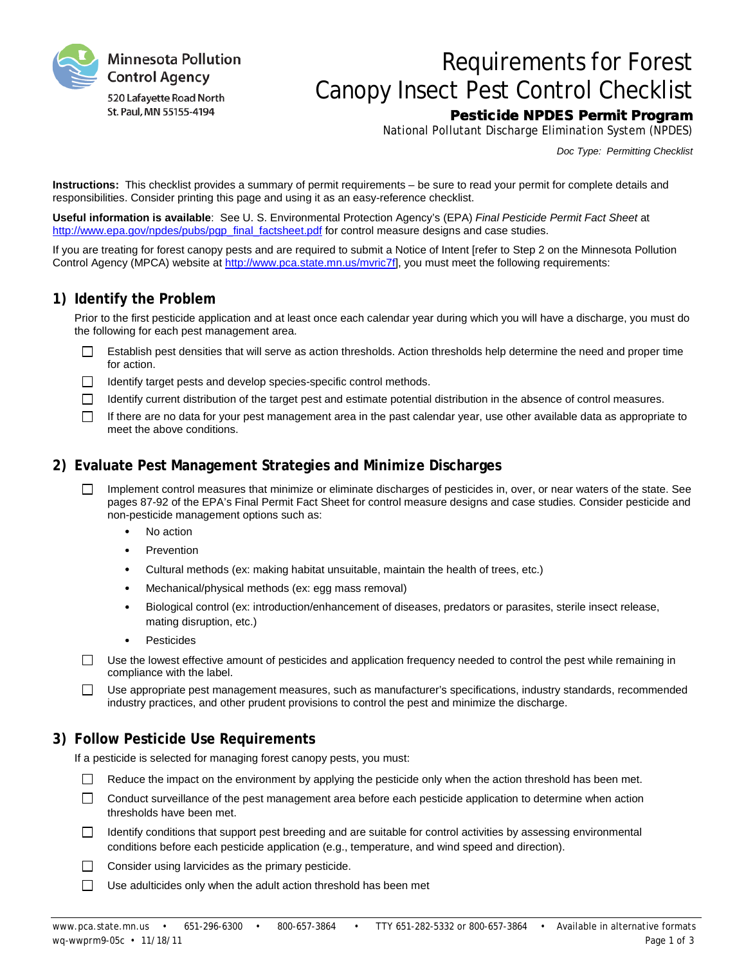

# Requirements for Forest Canopy Insect Pest Control Checklist

## Pesticide NPDES Permit Program

National Pollutant Discharge Elimination System (NPDES)

*Doc Type: Permitting Checklist*

**Instructions:** This checklist provides a summary of permit requirements – be sure to read your permit for complete details and responsibilities. Consider printing this page and using it as an easy-reference checklist.

**Useful information is available**: See U. S. Environmental Protection Agency's (EPA) *Final Pesticide Permit Fact Sheet* at [http://www.epa.gov/npdes/pubs/pgp\\_final\\_factsheet.pdf](http://www.epa.gov/npdes/pubs/pgp_final_factsheet.pdf) for control measure designs and case studies.

If you are treating for forest canopy pests and are required to submit a Notice of Intent [refer to Step 2 on the Minnesota Pollution Control Agency (MPCA) website at [http://www.pca.state.mn.us/mvric7f\],](http://www.pca.state.mn.us/mvric7f) you must meet the following requirements:

#### **1) Identify the Problem**

Prior to the first pesticide application and at least once each calendar year during which you will have a discharge, you must do the following for each pest management area.

- $\Box$ Establish pest densities that will serve as action thresholds. Action thresholds help determine the need and proper time for action.
- $\Box$ Identify target pests and develop species-specific control methods.
- $\Box$ Identify current distribution of the target pest and estimate potential distribution in the absence of control measures.
- $\Box$ If there are no data for your pest management area in the past calendar year, use other available data as appropriate to meet the above conditions.

#### **2) Evaluate Pest Management Strategies and Minimize Discharges**

- $\Box$ Implement control measures that minimize or eliminate discharges of pesticides in, over, or near waters of the state. See pages 87-92 of the EPA's Final Permit Fact Sheet for control measure designs and case studies. Consider pesticide and non-pesticide management options such as:
	- No action
	- **Prevention**
	- Cultural methods (ex: making habitat unsuitable, maintain the health of trees, etc.)
	- Mechanical/physical methods (ex: egg mass removal)
	- · Biological control (ex: introduction/enhancement of diseases, predators or parasites, sterile insect release, mating disruption, etc.)
	- **Pesticides**

 $\Box$ Use the lowest effective amount of pesticides and application frequency needed to control the pest while remaining in compliance with the label.

Use appropriate pest management measures, such as manufacturer's specifications, industry standards, recommended  $\Box$ industry practices, and other prudent provisions to control the pest and minimize the discharge.

## **3) Follow Pesticide Use Requirements**

If a pesticide is selected for managing forest canopy pests, you must:

- $\Box$ Reduce the impact on the environment by applying the pesticide only when the action threshold has been met.
- $\Box$ Conduct surveillance of the pest management area before each pesticide application to determine when action thresholds have been met.
- $\Box$ Identify conditions that support pest breeding and are suitable for control activities by assessing environmental conditions before each pesticide application (e.g., temperature, and wind speed and direction).
- $\Box$ Consider using larvicides as the primary pesticide.
- $\Box$ Use adulticides only when the adult action threshold has been met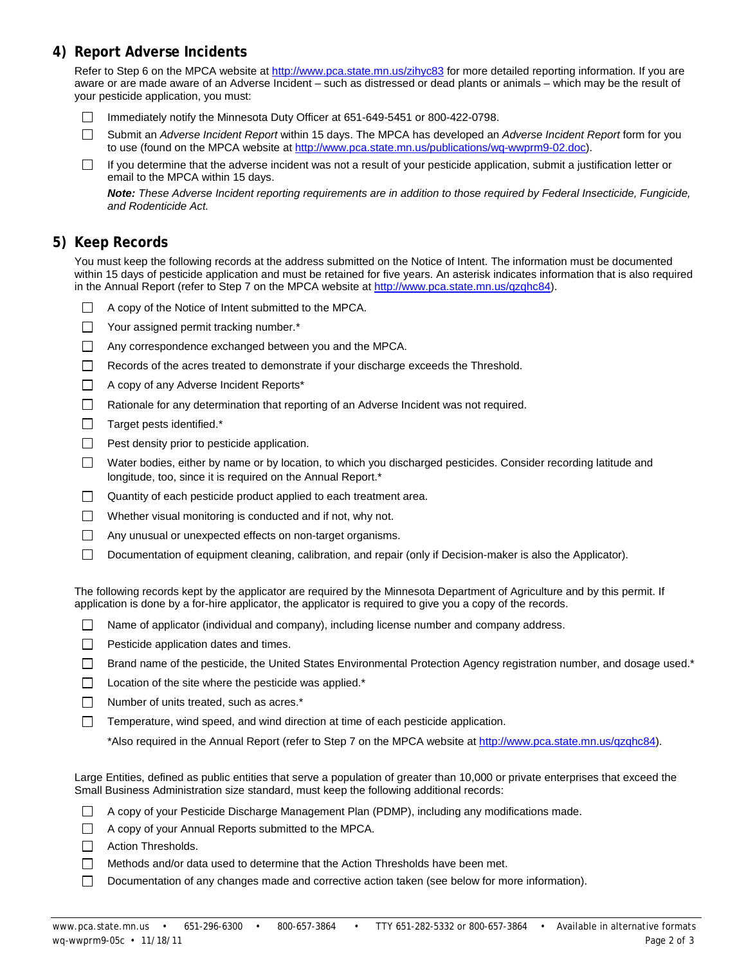## **4) Report Adverse Incidents**

Refer to Step 6 on the MPCA website at<http://www.pca.state.mn.us/zihyc83> for more detailed reporting information. If you are aware or are made aware of an Adverse Incident – such as distressed or dead plants or animals – which may be the result of your pesticide application, you must:

- Immediately notify the Minnesota Duty Officer at 651-649-5451 or 800-422-0798.  $\mathbb{R}^n$
- $\Box$ Submit an *Adverse Incident Report* within 15 days. The MPCA has developed an *Adverse Incident Report* form for you to use (found on the MPCA website at [http://www.pca.state.mn.us/publications/wq-wwprm9-02.doc\)](http://www.pca.state.mn.us/publications/wq-wwprm9-02.doc).
- If you determine that the adverse incident was not a result of your pesticide application, submit a justification letter or  $\Box$ email to the MPCA within 15 days.

*Note: These Adverse Incident reporting requirements are in addition to those required by Federal Insecticide, Fungicide, and Rodenticide Act.*

#### **5) Keep Records**

You must keep the following records at the address submitted on the Notice of Intent. The information must be documented within 15 days of pesticide application and must be retained for five years. An asterisk indicates information that is also required in the Annual Report (refer to Step 7 on the MPCA website at [http://www.pca.state.mn.us/qzqhc84\)](http://www.pca.state.mn.us/qzqhc84).

- A copy of the Notice of Intent submitted to the MPCA.  $\Box$
- $\Box$ Your assigned permit tracking number.\*
- $\Box$ Any correspondence exchanged between you and the MPCA.
- $\Box$ Records of the acres treated to demonstrate if your discharge exceeds the Threshold.
- $\Box$ A copy of any Adverse Incident Reports\*
- $\Box$ Rationale for any determination that reporting of an Adverse Incident was not required.
- $\Box$ Target pests identified.\*
- $\Box$ Pest density prior to pesticide application.
- $\Box$ Water bodies, either by name or by location, to which you discharged pesticides. Consider recording latitude and longitude, too, since it is required on the Annual Report.\*
- $\Box$ Quantity of each pesticide product applied to each treatment area.
- $\Box$  Whether visual monitoring is conducted and if not, why not.
- $\Box$ Any unusual or unexpected effects on non-target organisms.
- $\Box$ Documentation of equipment cleaning, calibration, and repair (only if Decision-maker is also the Applicator).

The following records kept by the applicator are required by the Minnesota Department of Agriculture and by this permit. If application is done by a for-hire applicator, the applicator is required to give you a copy of the records.

- Name of applicator (individual and company), including license number and company address.
- $\Box$  Pesticide application dates and times.
- Brand name of the pesticide, the United States Environmental Protection Agency registration number, and dosage used.\*
- $\Box$  Location of the site where the pesticide was applied.\*
- $\Box$ Number of units treated, such as acres.\*
- П Temperature, wind speed, and wind direction at time of each pesticide application.

\*Also required in the Annual Report (refer to Step 7 on the MPCA website a[t http://www.pca.state.mn.us/qzqhc84\)](http://www.pca.state.mn.us/qzqhc84).

Large Entities, defined as public entities that serve a population of greater than 10,000 or private enterprises that exceed the Small Business Administration size standard, must keep the following additional records:

- A copy of your Pesticide Discharge Management Plan (PDMP), including any modifications made.
- $\Box$  A copy of your Annual Reports submitted to the MPCA.
- Action Thresholds.
- $\Box$ Methods and/or data used to determine that the Action Thresholds have been met.
- $\Box$ Documentation of any changes made and corrective action taken (see below for more information).